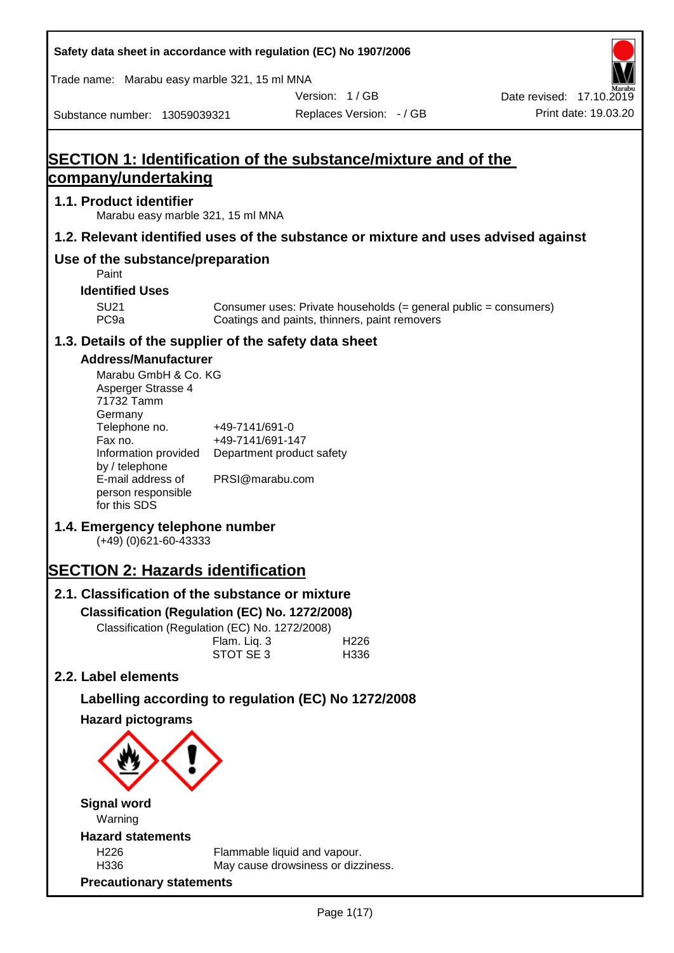| Safety data sheet in accordance with regulation (EC) No 1907/2006                    |                                               |                                                                                                                   |                          |
|--------------------------------------------------------------------------------------|-----------------------------------------------|-------------------------------------------------------------------------------------------------------------------|--------------------------|
| Trade name: Marabu easy marble 321, 15 ml MNA                                        |                                               |                                                                                                                   |                          |
|                                                                                      |                                               | Version: 1/GB                                                                                                     | Date revised: 17.10.2019 |
| Substance number: 13059039321                                                        |                                               | Replaces Version: - / GB                                                                                          | Print date: 19.03.20     |
| SECTION 1: Identification of the substance/mixture and of the<br>company/undertaking |                                               |                                                                                                                   |                          |
|                                                                                      |                                               |                                                                                                                   |                          |
| 1.1. Product identifier<br>Marabu easy marble 321, 15 ml MNA                         |                                               |                                                                                                                   |                          |
| 1.2. Relevant identified uses of the substance or mixture and uses advised against   |                                               |                                                                                                                   |                          |
| Use of the substance/preparation<br>Paint                                            |                                               |                                                                                                                   |                          |
| <b>Identified Uses</b>                                                               |                                               |                                                                                                                   |                          |
| <b>SU21</b><br>PC <sub>9a</sub>                                                      |                                               | Consumer uses: Private households (= general public = consumers)<br>Coatings and paints, thinners, paint removers |                          |
| 1.3. Details of the supplier of the safety data sheet                                |                                               |                                                                                                                   |                          |
| <b>Address/Manufacturer</b>                                                          |                                               |                                                                                                                   |                          |
| Marabu GmbH & Co. KG<br>Asperger Strasse 4<br>71732 Tamm<br>Germany<br>Telephone no. | +49-7141/691-0                                |                                                                                                                   |                          |
| Fax no.<br>Information provided<br>by / telephone                                    | +49-7141/691-147<br>Department product safety |                                                                                                                   |                          |
| E-mail address of<br>person responsible<br>for this SDS                              | PRSI@marabu.com                               |                                                                                                                   |                          |
| 1.4. Emergency telephone number<br>$(+49)$ (0)621-60-43333                           |                                               |                                                                                                                   |                          |
| <b>SECTION 2: Hazards identification</b>                                             |                                               |                                                                                                                   |                          |
| 2.1. Classification of the substance or mixture                                      |                                               |                                                                                                                   |                          |
| Classification (Regulation (EC) No. 1272/2008)                                       |                                               |                                                                                                                   |                          |
| Classification (Regulation (EC) No. 1272/2008)                                       |                                               |                                                                                                                   |                          |
|                                                                                      | Flam. Liq. 3<br>STOT SE 3                     | H <sub>226</sub><br>H336                                                                                          |                          |
| 2.2. Label elements                                                                  |                                               |                                                                                                                   |                          |
| Labelling according to regulation (EC) No 1272/2008                                  |                                               |                                                                                                                   |                          |
| <b>Hazard pictograms</b>                                                             |                                               |                                                                                                                   |                          |
|                                                                                      |                                               |                                                                                                                   |                          |
| <b>Signal word</b><br>Warning                                                        |                                               |                                                                                                                   |                          |
| <b>Hazard statements</b>                                                             |                                               |                                                                                                                   |                          |
| H <sub>226</sub><br>H336                                                             |                                               | Flammable liquid and vapour.<br>May cause drowsiness or dizziness.                                                |                          |
| <b>Precautionary statements</b>                                                      |                                               |                                                                                                                   |                          |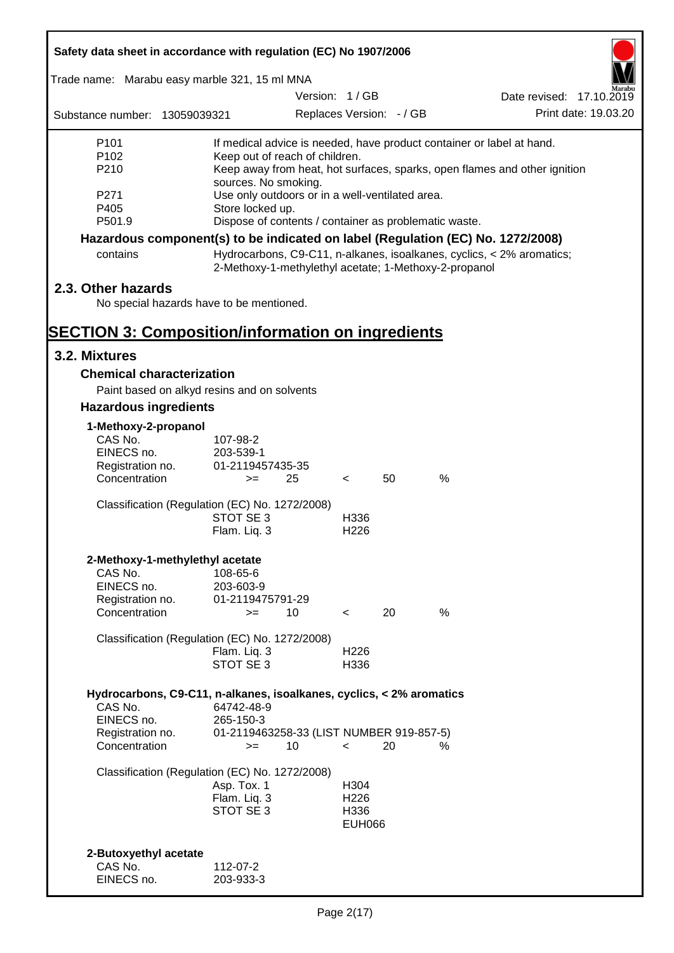| Safety data sheet in accordance with regulation (EC) No 1907/2006               |                                                                           |               |                          |                          |               |                                                                       |  |
|---------------------------------------------------------------------------------|---------------------------------------------------------------------------|---------------|--------------------------|--------------------------|---------------|-----------------------------------------------------------------------|--|
| Trade name: Marabu easy marble 321, 15 ml MNA                                   |                                                                           |               |                          |                          |               |                                                                       |  |
|                                                                                 |                                                                           | Version: 1/GB |                          |                          |               | Date revised: 17.10.2019                                              |  |
| Substance number: 13059039321                                                   |                                                                           |               |                          | Replaces Version: - / GB |               | Print date: 19.03.20                                                  |  |
| P <sub>101</sub>                                                                | If medical advice is needed, have product container or label at hand.     |               |                          |                          |               |                                                                       |  |
| P <sub>102</sub>                                                                | Keep out of reach of children.                                            |               |                          |                          |               |                                                                       |  |
| P210                                                                            | Keep away from heat, hot surfaces, sparks, open flames and other ignition |               |                          |                          |               |                                                                       |  |
| P271                                                                            | sources. No smoking.<br>Use only outdoors or in a well-ventilated area.   |               |                          |                          |               |                                                                       |  |
| P405                                                                            | Store locked up.                                                          |               |                          |                          |               |                                                                       |  |
| P501.9                                                                          | Dispose of contents / container as problematic waste.                     |               |                          |                          |               |                                                                       |  |
| Hazardous component(s) to be indicated on label (Regulation (EC) No. 1272/2008) |                                                                           |               |                          |                          |               |                                                                       |  |
| contains                                                                        | 2-Methoxy-1-methylethyl acetate; 1-Methoxy-2-propanol                     |               |                          |                          |               | Hydrocarbons, C9-C11, n-alkanes, isoalkanes, cyclics, < 2% aromatics; |  |
| 2.3. Other hazards                                                              |                                                                           |               |                          |                          |               |                                                                       |  |
| No special hazards have to be mentioned.                                        |                                                                           |               |                          |                          |               |                                                                       |  |
| <b>SECTION 3: Composition/information on ingredients</b>                        |                                                                           |               |                          |                          |               |                                                                       |  |
| 3.2. Mixtures                                                                   |                                                                           |               |                          |                          |               |                                                                       |  |
| <b>Chemical characterization</b>                                                |                                                                           |               |                          |                          |               |                                                                       |  |
| Paint based on alkyd resins and on solvents                                     |                                                                           |               |                          |                          |               |                                                                       |  |
| <b>Hazardous ingredients</b>                                                    |                                                                           |               |                          |                          |               |                                                                       |  |
| 1-Methoxy-2-propanol                                                            |                                                                           |               |                          |                          |               |                                                                       |  |
| CAS No.                                                                         | 107-98-2                                                                  |               |                          |                          |               |                                                                       |  |
| EINECS no.                                                                      | 203-539-1                                                                 |               |                          |                          |               |                                                                       |  |
| Registration no.<br>Concentration                                               | 01-2119457435-35<br>$>=$                                                  | 25            | $\lt$                    | 50                       | $\%$          |                                                                       |  |
| Classification (Regulation (EC) No. 1272/2008)                                  |                                                                           |               |                          |                          |               |                                                                       |  |
|                                                                                 | STOT SE 3                                                                 |               | H336                     |                          |               |                                                                       |  |
|                                                                                 | Flam. Liq. 3                                                              |               | H <sub>226</sub>         |                          |               |                                                                       |  |
| 2-Methoxy-1-methylethyl acetate                                                 |                                                                           |               |                          |                          |               |                                                                       |  |
| CAS No.                                                                         | 108-65-6                                                                  |               |                          |                          |               |                                                                       |  |
| EINECS no.                                                                      | 203-603-9                                                                 |               |                          |                          |               |                                                                       |  |
| Registration no.<br>Concentration                                               | 01-2119475791-29<br>$=$                                                   | 10            | $\lt$                    | 20                       | $\frac{0}{0}$ |                                                                       |  |
|                                                                                 |                                                                           |               |                          |                          |               |                                                                       |  |
| Classification (Regulation (EC) No. 1272/2008)                                  |                                                                           |               |                          |                          |               |                                                                       |  |
|                                                                                 | Flam. Liq. 3<br>STOT SE 3                                                 |               | H <sub>226</sub><br>H336 |                          |               |                                                                       |  |
|                                                                                 |                                                                           |               |                          |                          |               |                                                                       |  |
| Hydrocarbons, C9-C11, n-alkanes, isoalkanes, cyclics, < 2% aromatics<br>CAS No. | 64742-48-9                                                                |               |                          |                          |               |                                                                       |  |
| EINECS no.                                                                      | 265-150-3                                                                 |               |                          |                          |               |                                                                       |  |
| Registration no.                                                                | 01-2119463258-33 (LIST NUMBER 919-857-5)                                  |               |                          |                          |               |                                                                       |  |
| Concentration                                                                   | $>=$                                                                      | 10            | $\prec$                  | 20                       | ℅             |                                                                       |  |
| Classification (Regulation (EC) No. 1272/2008)                                  |                                                                           |               |                          |                          |               |                                                                       |  |
|                                                                                 | Asp. Tox. 1                                                               |               | H304                     |                          |               |                                                                       |  |
|                                                                                 | Flam. Liq. 3<br>STOT SE 3                                                 |               | H <sub>226</sub><br>H336 |                          |               |                                                                       |  |
|                                                                                 |                                                                           |               | <b>EUH066</b>            |                          |               |                                                                       |  |
|                                                                                 |                                                                           |               |                          |                          |               |                                                                       |  |
| 2-Butoxyethyl acetate<br>CAS No.                                                | 112-07-2                                                                  |               |                          |                          |               |                                                                       |  |
| EINECS no.                                                                      | 203-933-3                                                                 |               |                          |                          |               |                                                                       |  |

7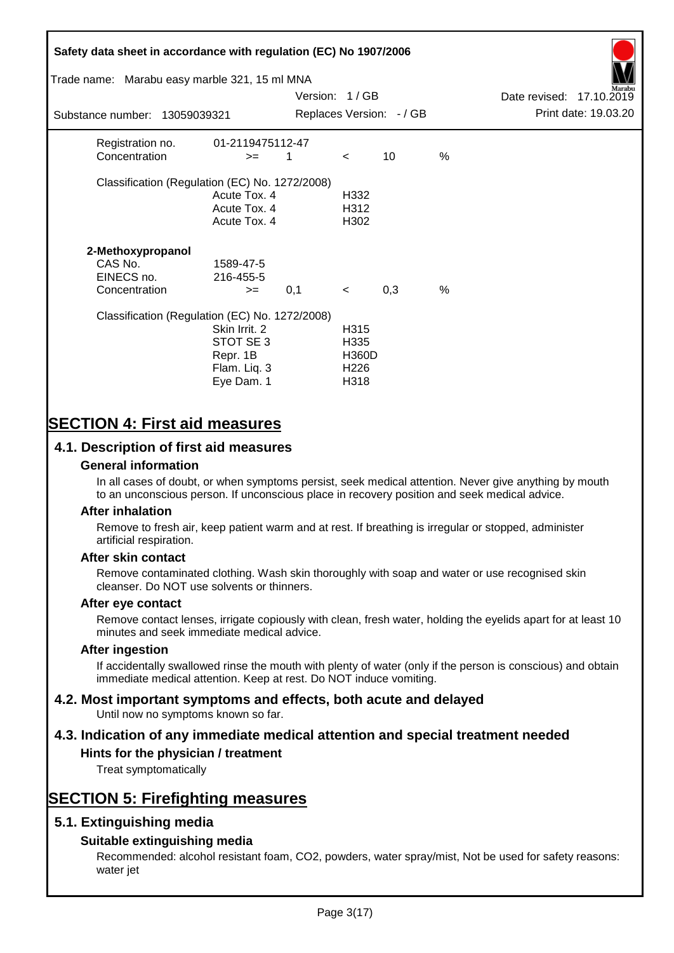# **Safety data sheet in accordance with regulation (EC) No 1907/2006** Substance number: 13059039321 Version: 1 / GB Replaces Version:  $-$  / GB Print date: 19.03.20 Date revised: 17.10.2019 Trade name: Marabu easy marble 321, 15 ml MNA Registration no. 01-2119475112-47  $\text{Concentration}$   $\geq$  1 < 10 % Classification (Regulation (EC) No. 1272/2008) Acute Tox. 4 H332 Acute Tox. 4 H312 Acute Tox. 4 H302 **2-Methoxypropanol** CAS No. 1589-47-5 EINECS no. 216-455-5  $\text{Concentration}$   $\rightarrow$  0.1 < 0.3 % Classification (Regulation (EC) No. 1272/2008) Skin Irrit. 2 H315 STOT SE 3 H335 Repr. 1B H360D Flam. Liq. 3 H226 Eye Dam. 1 H318

# **SECTION 4: First aid measures**

# **4.1. Description of first aid measures**

## **General information**

In all cases of doubt, or when symptoms persist, seek medical attention. Never give anything by mouth to an unconscious person. If unconscious place in recovery position and seek medical advice.

## **After inhalation**

Remove to fresh air, keep patient warm and at rest. If breathing is irregular or stopped, administer artificial respiration.

## **After skin contact**

Remove contaminated clothing. Wash skin thoroughly with soap and water or use recognised skin cleanser. Do NOT use solvents or thinners.

## **After eye contact**

Remove contact lenses, irrigate copiously with clean, fresh water, holding the eyelids apart for at least 10 minutes and seek immediate medical advice.

#### **After ingestion**

If accidentally swallowed rinse the mouth with plenty of water (only if the person is conscious) and obtain immediate medical attention. Keep at rest. Do NOT induce vomiting.

# **4.2. Most important symptoms and effects, both acute and delayed**

Until now no symptoms known so far.

# **4.3. Indication of any immediate medical attention and special treatment needed**

# **Hints for the physician / treatment**

Treat symptomatically

# **SECTION 5: Firefighting measures**

# **5.1. Extinguishing media**

# **Suitable extinguishing media**

Recommended: alcohol resistant foam, CO2, powders, water spray/mist, Not be used for safety reasons: water jet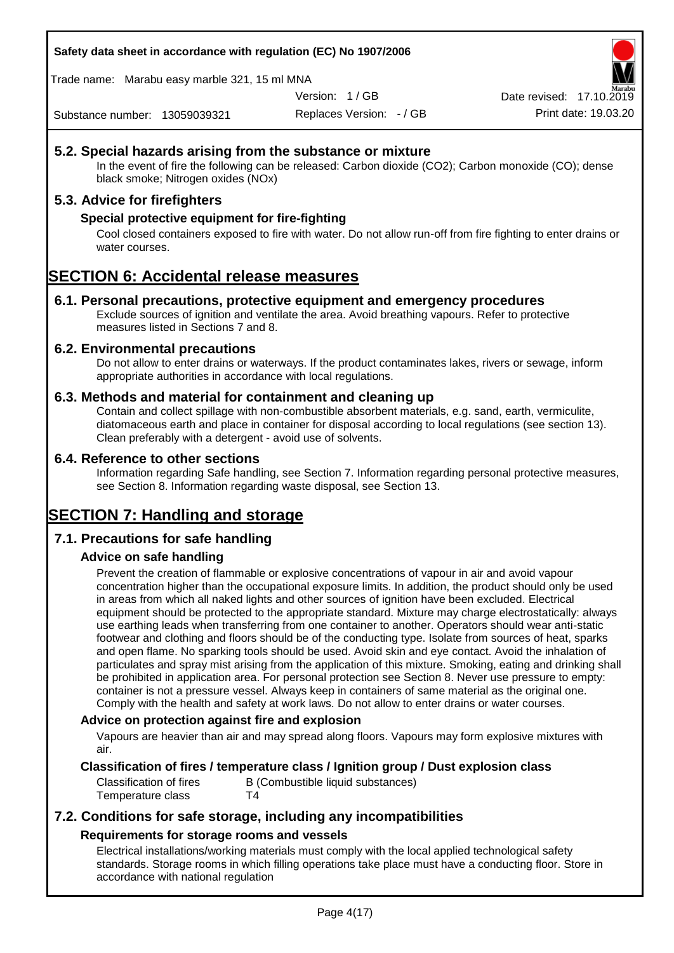## **Safety data sheet in accordance with regulation (EC) No 1907/2006**

Trade name: Marabu easy marble 321, 15 ml MNA

Version: 1 / GB

Replaces Version: - / GB Print date: 19.03.20 Date revised: 17.10.2

Substance number: 13059039321

# **5.2. Special hazards arising from the substance or mixture**

In the event of fire the following can be released: Carbon dioxide (CO2); Carbon monoxide (CO); dense black smoke; Nitrogen oxides (NOx)

# **5.3. Advice for firefighters**

## **Special protective equipment for fire-fighting**

Cool closed containers exposed to fire with water. Do not allow run-off from fire fighting to enter drains or water courses.

# **SECTION 6: Accidental release measures**

## **6.1. Personal precautions, protective equipment and emergency procedures**

Exclude sources of ignition and ventilate the area. Avoid breathing vapours. Refer to protective measures listed in Sections 7 and 8.

## **6.2. Environmental precautions**

Do not allow to enter drains or waterways. If the product contaminates lakes, rivers or sewage, inform appropriate authorities in accordance with local regulations.

## **6.3. Methods and material for containment and cleaning up**

Contain and collect spillage with non-combustible absorbent materials, e.g. sand, earth, vermiculite, diatomaceous earth and place in container for disposal according to local regulations (see section 13). Clean preferably with a detergent - avoid use of solvents.

## **6.4. Reference to other sections**

Information regarding Safe handling, see Section 7. Information regarding personal protective measures, see Section 8. Information regarding waste disposal, see Section 13.

# **SECTION 7: Handling and storage**

# **7.1. Precautions for safe handling**

# **Advice on safe handling**

Prevent the creation of flammable or explosive concentrations of vapour in air and avoid vapour concentration higher than the occupational exposure limits. In addition, the product should only be used in areas from which all naked lights and other sources of ignition have been excluded. Electrical equipment should be protected to the appropriate standard. Mixture may charge electrostatically: always use earthing leads when transferring from one container to another. Operators should wear anti-static footwear and clothing and floors should be of the conducting type. Isolate from sources of heat, sparks and open flame. No sparking tools should be used. Avoid skin and eye contact. Avoid the inhalation of particulates and spray mist arising from the application of this mixture. Smoking, eating and drinking shall be prohibited in application area. For personal protection see Section 8. Never use pressure to empty: container is not a pressure vessel. Always keep in containers of same material as the original one. Comply with the health and safety at work laws. Do not allow to enter drains or water courses.

## **Advice on protection against fire and explosion**

Vapours are heavier than air and may spread along floors. Vapours may form explosive mixtures with air.

## **Classification of fires / temperature class / Ignition group / Dust explosion class**

Classification of fires B (Combustible liquid substances) Temperature class T4

# **7.2. Conditions for safe storage, including any incompatibilities Requirements for storage rooms and vessels**

Electrical installations/working materials must comply with the local applied technological safety standards. Storage rooms in which filling operations take place must have a conducting floor. Store in accordance with national regulation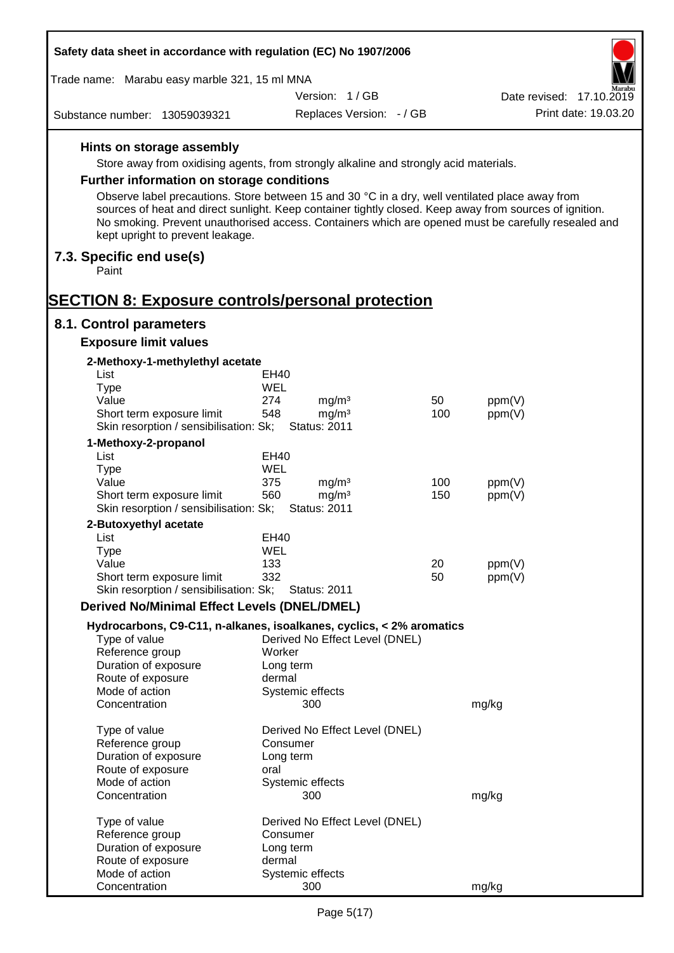| Safety data sheet in accordance with regulation (EC) No 1907/2006                                                                                                                                                                                                                                                                                     |                  |                                          |     |        |                          |
|-------------------------------------------------------------------------------------------------------------------------------------------------------------------------------------------------------------------------------------------------------------------------------------------------------------------------------------------------------|------------------|------------------------------------------|-----|--------|--------------------------|
| Trade name: Marabu easy marble 321, 15 ml MNA                                                                                                                                                                                                                                                                                                         |                  |                                          |     |        |                          |
|                                                                                                                                                                                                                                                                                                                                                       |                  | Version: 1/GB                            |     |        | Date revised: 17.10.2019 |
| Substance number: 13059039321                                                                                                                                                                                                                                                                                                                         |                  | Replaces Version: - / GB                 |     |        | Print date: 19.03.20     |
| Hints on storage assembly                                                                                                                                                                                                                                                                                                                             |                  |                                          |     |        |                          |
| Store away from oxidising agents, from strongly alkaline and strongly acid materials.                                                                                                                                                                                                                                                                 |                  |                                          |     |        |                          |
| <b>Further information on storage conditions</b>                                                                                                                                                                                                                                                                                                      |                  |                                          |     |        |                          |
| Observe label precautions. Store between 15 and 30 °C in a dry, well ventilated place away from<br>sources of heat and direct sunlight. Keep container tightly closed. Keep away from sources of ignition.<br>No smoking. Prevent unauthorised access. Containers which are opened must be carefully resealed and<br>kept upright to prevent leakage. |                  |                                          |     |        |                          |
| 7.3. Specific end use(s)<br>Paint                                                                                                                                                                                                                                                                                                                     |                  |                                          |     |        |                          |
| <b>SECTION 8: Exposure controls/personal protection</b>                                                                                                                                                                                                                                                                                               |                  |                                          |     |        |                          |
| 8.1. Control parameters                                                                                                                                                                                                                                                                                                                               |                  |                                          |     |        |                          |
| <b>Exposure limit values</b>                                                                                                                                                                                                                                                                                                                          |                  |                                          |     |        |                          |
| 2-Methoxy-1-methylethyl acetate                                                                                                                                                                                                                                                                                                                       |                  |                                          |     |        |                          |
| List                                                                                                                                                                                                                                                                                                                                                  | EH40             |                                          |     |        |                          |
| Type                                                                                                                                                                                                                                                                                                                                                  | WEL              |                                          |     |        |                          |
| Value                                                                                                                                                                                                                                                                                                                                                 | 274              | mg/m <sup>3</sup>                        | 50  | ppm(V) |                          |
| Short term exposure limit<br>Skin resorption / sensibilisation: Sk;                                                                                                                                                                                                                                                                                   | 548              | mg/m <sup>3</sup><br><b>Status: 2011</b> | 100 | ppm(V) |                          |
| 1-Methoxy-2-propanol                                                                                                                                                                                                                                                                                                                                  |                  |                                          |     |        |                          |
| List                                                                                                                                                                                                                                                                                                                                                  | EH40             |                                          |     |        |                          |
| <b>Type</b>                                                                                                                                                                                                                                                                                                                                           | <b>WEL</b>       |                                          |     |        |                          |
| Value                                                                                                                                                                                                                                                                                                                                                 | 375<br>560       | mg/m <sup>3</sup>                        | 100 | ppm(V) |                          |
| Short term exposure limit<br>Skin resorption / sensibilisation: Sk;                                                                                                                                                                                                                                                                                   |                  | mg/m <sup>3</sup><br><b>Status: 2011</b> | 150 | ppm(V) |                          |
| 2-Butoxyethyl acetate                                                                                                                                                                                                                                                                                                                                 |                  |                                          |     |        |                          |
| List                                                                                                                                                                                                                                                                                                                                                  | <b>EH40</b>      |                                          |     |        |                          |
| Type                                                                                                                                                                                                                                                                                                                                                  | <b>WEL</b>       |                                          |     |        |                          |
| Value                                                                                                                                                                                                                                                                                                                                                 | 133              |                                          | 20  | ppm(V) |                          |
| Short term exposure limit<br>Skin resorption / sensibilisation: Sk;                                                                                                                                                                                                                                                                                   | 332              | <b>Status: 2011</b>                      | 50  | ppm(V) |                          |
| <b>Derived No/Minimal Effect Levels (DNEL/DMEL)</b>                                                                                                                                                                                                                                                                                                   |                  |                                          |     |        |                          |
| Hydrocarbons, C9-C11, n-alkanes, isoalkanes, cyclics, < 2% aromatics                                                                                                                                                                                                                                                                                  |                  |                                          |     |        |                          |
| Type of value                                                                                                                                                                                                                                                                                                                                         |                  | Derived No Effect Level (DNEL)           |     |        |                          |
| Reference group                                                                                                                                                                                                                                                                                                                                       | Worker           |                                          |     |        |                          |
| Duration of exposure                                                                                                                                                                                                                                                                                                                                  | Long term        |                                          |     |        |                          |
| Route of exposure                                                                                                                                                                                                                                                                                                                                     | dermal           |                                          |     |        |                          |
| Mode of action                                                                                                                                                                                                                                                                                                                                        | Systemic effects |                                          |     |        |                          |
| Concentration                                                                                                                                                                                                                                                                                                                                         | 300              |                                          |     | mg/kg  |                          |
| Type of value                                                                                                                                                                                                                                                                                                                                         |                  | Derived No Effect Level (DNEL)           |     |        |                          |
| Reference group                                                                                                                                                                                                                                                                                                                                       | Consumer         |                                          |     |        |                          |
| Duration of exposure                                                                                                                                                                                                                                                                                                                                  | Long term        |                                          |     |        |                          |
| Route of exposure                                                                                                                                                                                                                                                                                                                                     | oral             |                                          |     |        |                          |
| Mode of action                                                                                                                                                                                                                                                                                                                                        | Systemic effects |                                          |     |        |                          |
| Concentration                                                                                                                                                                                                                                                                                                                                         | 300              |                                          |     | mg/kg  |                          |
| Type of value                                                                                                                                                                                                                                                                                                                                         |                  | Derived No Effect Level (DNEL)           |     |        |                          |
| Reference group                                                                                                                                                                                                                                                                                                                                       | Consumer         |                                          |     |        |                          |
| Duration of exposure                                                                                                                                                                                                                                                                                                                                  | Long term        |                                          |     |        |                          |
| Route of exposure                                                                                                                                                                                                                                                                                                                                     | dermal           |                                          |     |        |                          |
| Mode of action                                                                                                                                                                                                                                                                                                                                        | Systemic effects |                                          |     |        |                          |
| Concentration                                                                                                                                                                                                                                                                                                                                         | 300              |                                          |     | mg/kg  |                          |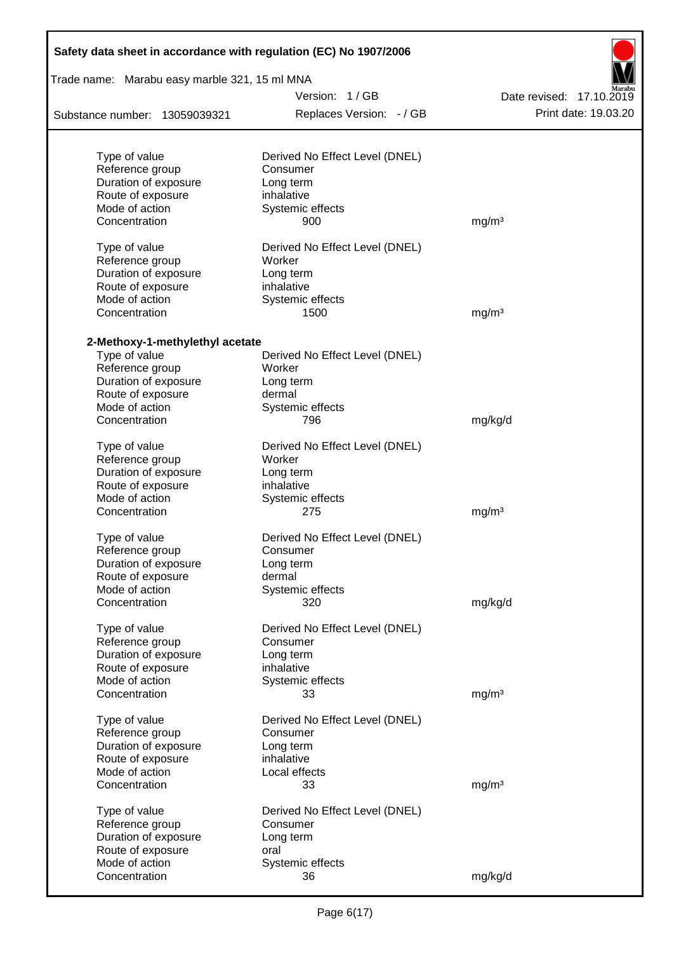| Safety data sheet in accordance with regulation (EC) No 1907/2006 |                                            |                          |  |  |  |  |  |
|-------------------------------------------------------------------|--------------------------------------------|--------------------------|--|--|--|--|--|
| Trade name: Marabu easy marble 321, 15 ml MNA                     |                                            |                          |  |  |  |  |  |
|                                                                   | Version: 1/GB                              | Date revised: 17.10.2019 |  |  |  |  |  |
| Substance number: 13059039321                                     | Replaces Version: - / GB                   | Print date: 19.03.20     |  |  |  |  |  |
|                                                                   |                                            |                          |  |  |  |  |  |
| Type of value<br>Reference group                                  | Derived No Effect Level (DNEL)<br>Consumer |                          |  |  |  |  |  |
| Duration of exposure                                              | Long term                                  |                          |  |  |  |  |  |
| Route of exposure                                                 | inhalative                                 |                          |  |  |  |  |  |
| Mode of action                                                    | Systemic effects                           |                          |  |  |  |  |  |
| Concentration                                                     | 900                                        | mg/m <sup>3</sup>        |  |  |  |  |  |
| Type of value                                                     | Derived No Effect Level (DNEL)             |                          |  |  |  |  |  |
| Reference group                                                   | Worker                                     |                          |  |  |  |  |  |
| Duration of exposure                                              | Long term                                  |                          |  |  |  |  |  |
| Route of exposure                                                 | inhalative                                 |                          |  |  |  |  |  |
| Mode of action                                                    | Systemic effects                           |                          |  |  |  |  |  |
| Concentration                                                     | 1500                                       | mg/m <sup>3</sup>        |  |  |  |  |  |
|                                                                   |                                            |                          |  |  |  |  |  |
| 2-Methoxy-1-methylethyl acetate                                   |                                            |                          |  |  |  |  |  |
| Type of value                                                     | Derived No Effect Level (DNEL)             |                          |  |  |  |  |  |
| Reference group                                                   | Worker                                     |                          |  |  |  |  |  |
| Duration of exposure                                              | Long term                                  |                          |  |  |  |  |  |
| Route of exposure                                                 | dermal                                     |                          |  |  |  |  |  |
| Mode of action                                                    | Systemic effects                           |                          |  |  |  |  |  |
| Concentration                                                     | 796                                        | mg/kg/d                  |  |  |  |  |  |
| Type of value                                                     | Derived No Effect Level (DNEL)             |                          |  |  |  |  |  |
| Reference group                                                   | Worker                                     |                          |  |  |  |  |  |
| Duration of exposure                                              | Long term                                  |                          |  |  |  |  |  |
| Route of exposure                                                 | inhalative                                 |                          |  |  |  |  |  |
| Mode of action                                                    | Systemic effects                           |                          |  |  |  |  |  |
| Concentration                                                     | 275                                        | mg/m <sup>3</sup>        |  |  |  |  |  |
| Type of value                                                     | Derived No Effect Level (DNEL)             |                          |  |  |  |  |  |
| Reference group                                                   | Consumer                                   |                          |  |  |  |  |  |
| Duration of exposure                                              | Long term                                  |                          |  |  |  |  |  |
| Route of exposure                                                 | dermal                                     |                          |  |  |  |  |  |
| Mode of action                                                    | Systemic effects                           |                          |  |  |  |  |  |
| Concentration                                                     | 320                                        | mg/kg/d                  |  |  |  |  |  |
| Type of value                                                     | Derived No Effect Level (DNEL)             |                          |  |  |  |  |  |
| Reference group                                                   | Consumer                                   |                          |  |  |  |  |  |
| Duration of exposure                                              | Long term                                  |                          |  |  |  |  |  |
| Route of exposure                                                 | inhalative                                 |                          |  |  |  |  |  |
| Mode of action                                                    | Systemic effects                           |                          |  |  |  |  |  |
| Concentration                                                     | 33                                         | mg/m <sup>3</sup>        |  |  |  |  |  |
| Type of value                                                     | Derived No Effect Level (DNEL)             |                          |  |  |  |  |  |
| Reference group                                                   | Consumer                                   |                          |  |  |  |  |  |
| Duration of exposure                                              | Long term                                  |                          |  |  |  |  |  |
| Route of exposure                                                 | inhalative                                 |                          |  |  |  |  |  |
| Mode of action                                                    | Local effects                              |                          |  |  |  |  |  |
| Concentration                                                     | 33                                         | mg/m <sup>3</sup>        |  |  |  |  |  |
|                                                                   |                                            |                          |  |  |  |  |  |
| Type of value                                                     | Derived No Effect Level (DNEL)             |                          |  |  |  |  |  |
| Reference group                                                   | Consumer                                   |                          |  |  |  |  |  |
| Duration of exposure                                              | Long term                                  |                          |  |  |  |  |  |
| Route of exposure<br>Mode of action                               | oral                                       |                          |  |  |  |  |  |
| Concentration                                                     | Systemic effects                           |                          |  |  |  |  |  |
|                                                                   | 36                                         | mg/kg/d                  |  |  |  |  |  |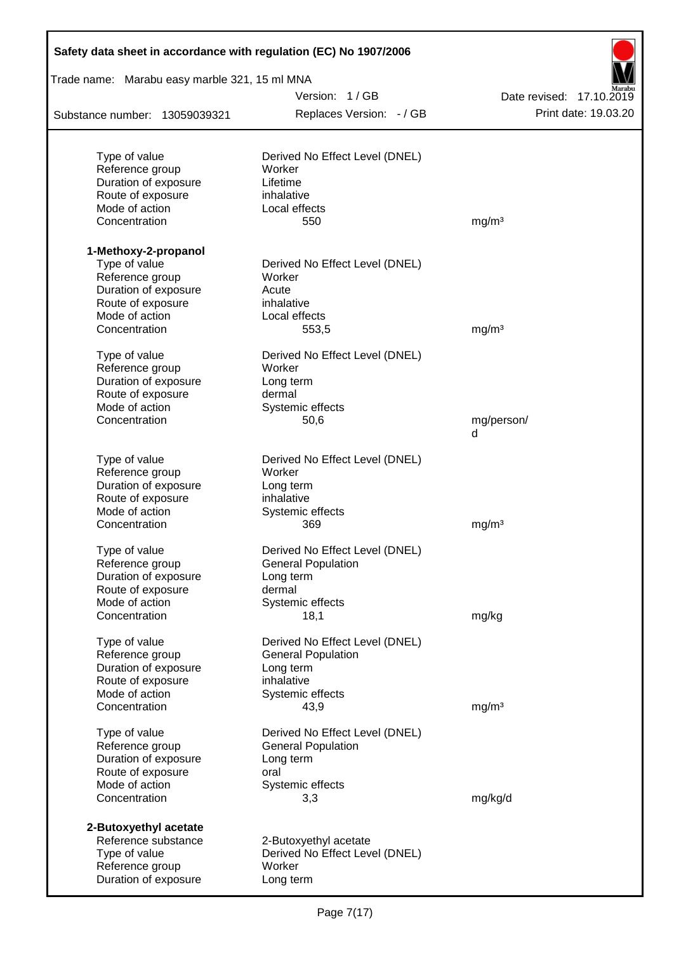| Safety data sheet in accordance with regulation (EC) No 1907/2006 |                                          |                          |
|-------------------------------------------------------------------|------------------------------------------|--------------------------|
| Trade name: Marabu easy marble 321, 15 ml MNA                     |                                          |                          |
|                                                                   | Version: 1/GB                            | Date revised: 17.10.2019 |
| Substance number: 13059039321                                     | Replaces Version: - / GB                 | Print date: 19.03.20     |
|                                                                   |                                          |                          |
| Type of value<br>Reference group                                  | Derived No Effect Level (DNEL)<br>Worker |                          |
| Duration of exposure                                              | Lifetime                                 |                          |
| Route of exposure                                                 | inhalative                               |                          |
| Mode of action                                                    | Local effects                            |                          |
| Concentration                                                     | 550                                      | mg/m <sup>3</sup>        |
| 1-Methoxy-2-propanol                                              |                                          |                          |
| Type of value                                                     | Derived No Effect Level (DNEL)           |                          |
| Reference group                                                   | Worker                                   |                          |
| Duration of exposure                                              | Acute                                    |                          |
| Route of exposure                                                 | inhalative                               |                          |
| Mode of action                                                    | Local effects                            |                          |
| Concentration                                                     | 553,5                                    | mg/m <sup>3</sup>        |
| Type of value                                                     | Derived No Effect Level (DNEL)           |                          |
| Reference group                                                   | Worker                                   |                          |
| Duration of exposure                                              | Long term                                |                          |
| Route of exposure                                                 | dermal                                   |                          |
| Mode of action                                                    | Systemic effects                         |                          |
| Concentration                                                     | 50,6                                     | mg/person/<br>d          |
| Type of value                                                     | Derived No Effect Level (DNEL)           |                          |
| Reference group                                                   | Worker                                   |                          |
| Duration of exposure                                              | Long term                                |                          |
| Route of exposure                                                 | inhalative                               |                          |
| Mode of action                                                    | Systemic effects                         |                          |
| Concentration                                                     | 369                                      | mg/m <sup>3</sup>        |
| Type of value                                                     | Derived No Effect Level (DNEL)           |                          |
| Reference group                                                   | <b>General Population</b>                |                          |
| Duration of exposure                                              | Long term                                |                          |
| Route of exposure                                                 | dermal                                   |                          |
| Mode of action                                                    | Systemic effects                         |                          |
| Concentration                                                     | 18,1                                     | mg/kg                    |
| Type of value                                                     | Derived No Effect Level (DNEL)           |                          |
| Reference group                                                   | <b>General Population</b>                |                          |
| Duration of exposure                                              | Long term                                |                          |
| Route of exposure                                                 | inhalative                               |                          |
| Mode of action                                                    | Systemic effects                         |                          |
| Concentration                                                     | 43,9                                     | mg/m <sup>3</sup>        |
| Type of value                                                     | Derived No Effect Level (DNEL)           |                          |
| Reference group                                                   | <b>General Population</b>                |                          |
| Duration of exposure                                              | Long term                                |                          |
| Route of exposure                                                 | oral                                     |                          |
| Mode of action<br>Concentration                                   | Systemic effects<br>3,3                  | mg/kg/d                  |
|                                                                   |                                          |                          |
| 2-Butoxyethyl acetate<br>Reference substance                      | 2-Butoxyethyl acetate                    |                          |
| Type of value                                                     | Derived No Effect Level (DNEL)           |                          |
| Reference group                                                   | Worker                                   |                          |
| Duration of exposure                                              | Long term                                |                          |
|                                                                   |                                          |                          |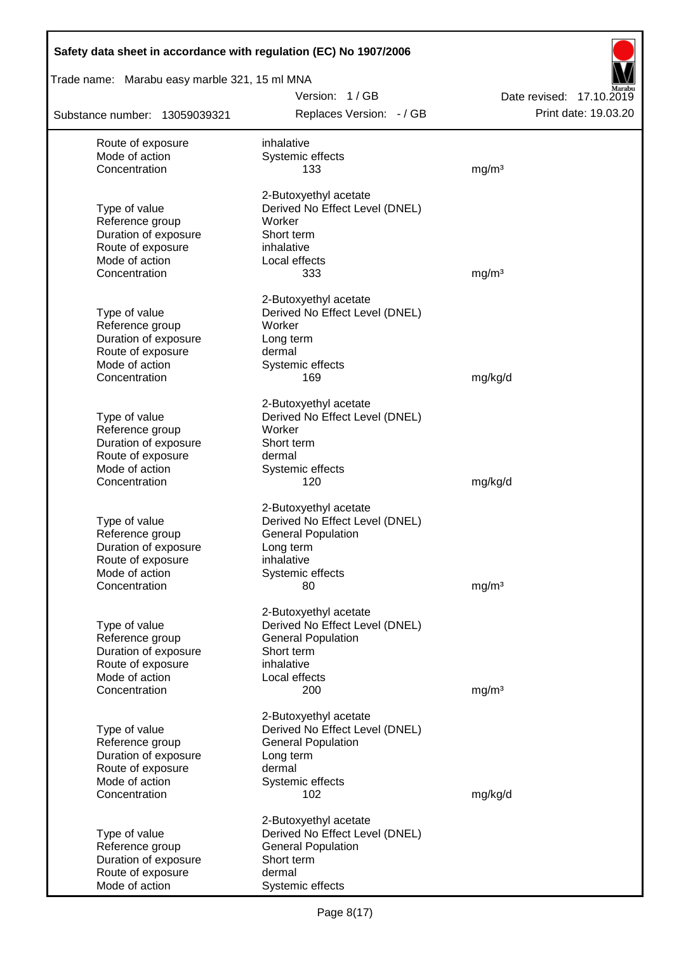| Safety data sheet in accordance with regulation (EC) No 1907/2006 |                                                             |                                                  |
|-------------------------------------------------------------------|-------------------------------------------------------------|--------------------------------------------------|
| Trade name: Marabu easy marble 321, 15 ml MNA                     |                                                             |                                                  |
| Substance number: 13059039321                                     | Version: 1/GB<br>Replaces Version: - / GB                   | Date revised: 17.10.2019<br>Print date: 19.03.20 |
| Route of exposure                                                 | inhalative                                                  |                                                  |
| Mode of action                                                    | Systemic effects                                            |                                                  |
| Concentration                                                     | 133                                                         | mg/m <sup>3</sup>                                |
|                                                                   | 2-Butoxyethyl acetate                                       |                                                  |
| Type of value                                                     | Derived No Effect Level (DNEL)                              |                                                  |
| Reference group                                                   | Worker                                                      |                                                  |
| Duration of exposure                                              | Short term                                                  |                                                  |
| Route of exposure                                                 | inhalative                                                  |                                                  |
| Mode of action<br>Concentration                                   | Local effects<br>333                                        | mg/m <sup>3</sup>                                |
|                                                                   |                                                             |                                                  |
|                                                                   | 2-Butoxyethyl acetate                                       |                                                  |
| Type of value                                                     | Derived No Effect Level (DNEL)                              |                                                  |
| Reference group<br>Duration of exposure                           | Worker<br>Long term                                         |                                                  |
| Route of exposure                                                 | dermal                                                      |                                                  |
| Mode of action                                                    | Systemic effects                                            |                                                  |
| Concentration                                                     | 169                                                         | mg/kg/d                                          |
|                                                                   | 2-Butoxyethyl acetate                                       |                                                  |
| Type of value                                                     | Derived No Effect Level (DNEL)                              |                                                  |
| Reference group                                                   | Worker                                                      |                                                  |
| Duration of exposure                                              | Short term                                                  |                                                  |
| Route of exposure                                                 | dermal                                                      |                                                  |
| Mode of action                                                    | Systemic effects                                            |                                                  |
| Concentration                                                     | 120                                                         | mg/kg/d                                          |
|                                                                   | 2-Butoxyethyl acetate                                       |                                                  |
| Type of value                                                     | Derived No Effect Level (DNEL)                              |                                                  |
| Reference group                                                   | <b>General Population</b>                                   |                                                  |
| Duration of exposure                                              | Long term                                                   |                                                  |
| Route of exposure<br>Mode of action                               | inhalative                                                  |                                                  |
| Concentration                                                     | Systemic effects<br>80                                      | mg/m <sup>3</sup>                                |
|                                                                   |                                                             |                                                  |
|                                                                   | 2-Butoxyethyl acetate                                       |                                                  |
| Type of value<br>Reference group                                  | Derived No Effect Level (DNEL)<br><b>General Population</b> |                                                  |
| Duration of exposure                                              | Short term                                                  |                                                  |
| Route of exposure                                                 | inhalative                                                  |                                                  |
| Mode of action                                                    | Local effects                                               |                                                  |
| Concentration                                                     | 200                                                         | mg/m <sup>3</sup>                                |
|                                                                   | 2-Butoxyethyl acetate                                       |                                                  |
| Type of value                                                     | Derived No Effect Level (DNEL)                              |                                                  |
| Reference group                                                   | <b>General Population</b>                                   |                                                  |
| Duration of exposure                                              | Long term                                                   |                                                  |
| Route of exposure                                                 | dermal                                                      |                                                  |
| Mode of action                                                    | Systemic effects                                            |                                                  |
| Concentration                                                     | 102                                                         | mg/kg/d                                          |
|                                                                   | 2-Butoxyethyl acetate                                       |                                                  |
| Type of value                                                     | Derived No Effect Level (DNEL)                              |                                                  |
| Reference group                                                   | <b>General Population</b>                                   |                                                  |
| Duration of exposure<br>Route of exposure                         | Short term<br>dermal                                        |                                                  |
| Mode of action                                                    | Systemic effects                                            |                                                  |
|                                                                   |                                                             |                                                  |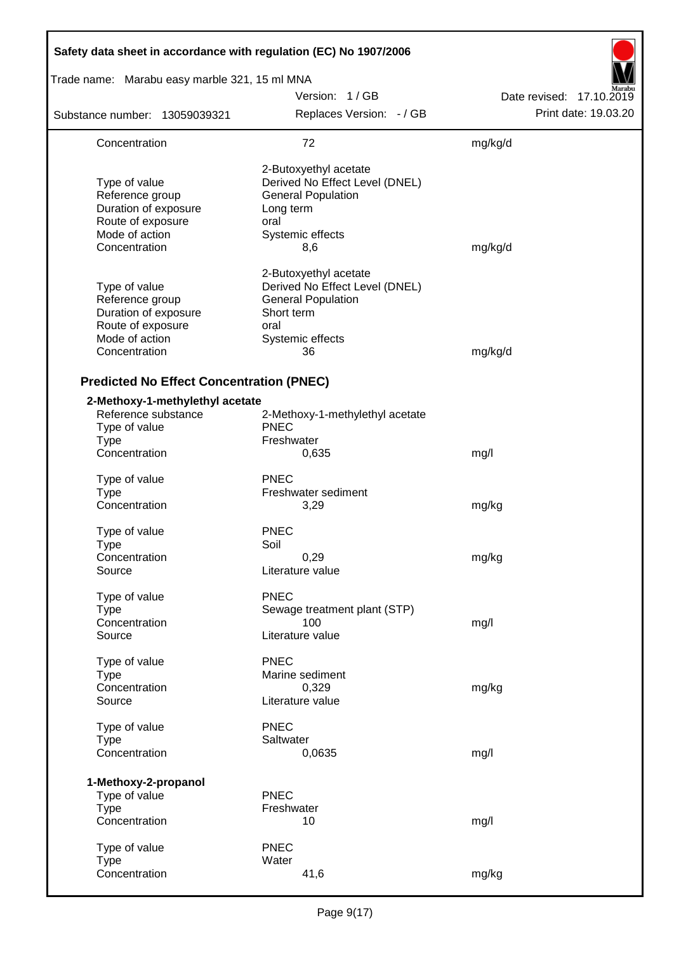| Safety data sheet in accordance with regulation (EC) No 1907/2006                                                |                                                                                                                                      |                          |  |  |  |  |
|------------------------------------------------------------------------------------------------------------------|--------------------------------------------------------------------------------------------------------------------------------------|--------------------------|--|--|--|--|
| Trade name: Marabu easy marble 321, 15 ml MNA                                                                    |                                                                                                                                      |                          |  |  |  |  |
|                                                                                                                  | Version: 1/GB                                                                                                                        | Date revised: 17.10.2019 |  |  |  |  |
| Substance number: 13059039321                                                                                    | Replaces Version: - / GB                                                                                                             | Print date: 19.03.20     |  |  |  |  |
| Concentration                                                                                                    | 72                                                                                                                                   | mg/kg/d                  |  |  |  |  |
| Type of value<br>Reference group<br>Duration of exposure<br>Route of exposure<br>Mode of action<br>Concentration | 2-Butoxyethyl acetate<br>Derived No Effect Level (DNEL)<br><b>General Population</b><br>Long term<br>oral<br>Systemic effects<br>8,6 | mg/kg/d                  |  |  |  |  |
| Type of value<br>Reference group<br>Duration of exposure<br>Route of exposure<br>Mode of action<br>Concentration | 2-Butoxyethyl acetate<br>Derived No Effect Level (DNEL)<br><b>General Population</b><br>Short term<br>oral<br>Systemic effects<br>36 | mg/kg/d                  |  |  |  |  |
| <b>Predicted No Effect Concentration (PNEC)</b>                                                                  |                                                                                                                                      |                          |  |  |  |  |
| 2-Methoxy-1-methylethyl acetate<br>Reference substance<br>Type of value<br><b>Type</b>                           | 2-Methoxy-1-methylethyl acetate<br><b>PNEC</b><br>Freshwater                                                                         |                          |  |  |  |  |
| Concentration                                                                                                    | 0,635                                                                                                                                | mg/l                     |  |  |  |  |
| Type of value<br><b>Type</b><br>Concentration                                                                    | <b>PNEC</b><br>Freshwater sediment<br>3,29                                                                                           | mg/kg                    |  |  |  |  |
| Type of value<br><b>Type</b><br>Concentration<br>Source                                                          | <b>PNEC</b><br>Soil<br>0,29<br>Literature value                                                                                      | mg/kg                    |  |  |  |  |
| Type of value<br><b>Type</b><br>Concentration<br>Source                                                          | <b>PNEC</b><br>Sewage treatment plant (STP)<br>100<br>Literature value                                                               | mg/l                     |  |  |  |  |
| Type of value<br><b>Type</b><br>Concentration<br>Source                                                          | <b>PNEC</b><br>Marine sediment<br>0,329<br>Literature value                                                                          | mg/kg                    |  |  |  |  |
| Type of value<br><b>Type</b><br>Concentration                                                                    | <b>PNEC</b><br>Saltwater<br>0,0635                                                                                                   | mg/l                     |  |  |  |  |
| 1-Methoxy-2-propanol<br>Type of value<br><b>Type</b><br>Concentration                                            | <b>PNEC</b><br>Freshwater<br>10                                                                                                      | mg/l                     |  |  |  |  |
| Type of value<br><b>Type</b><br>Concentration                                                                    | <b>PNEC</b><br>Water<br>41,6                                                                                                         | mg/kg                    |  |  |  |  |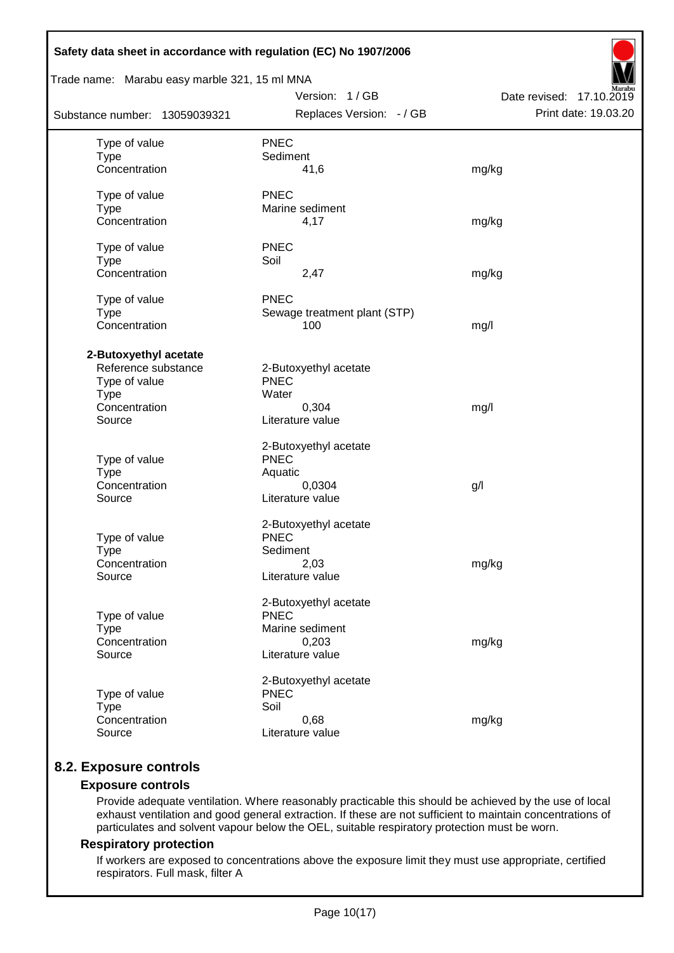| Safety data sheet in accordance with regulation (EC) No 1907/2006                                       |                                                                                      |                          |
|---------------------------------------------------------------------------------------------------------|--------------------------------------------------------------------------------------|--------------------------|
| Trade name: Marabu easy marble 321, 15 ml MNA                                                           | Version: 1/GB                                                                        | Date revised: 17.10.2019 |
| Substance number: 13059039321                                                                           | Replaces Version: - / GB                                                             | Print date: 19.03.20     |
| Type of value<br><b>Type</b><br>Concentration                                                           | <b>PNEC</b><br>Sediment<br>41,6                                                      | mg/kg                    |
| Type of value<br><b>Type</b><br>Concentration                                                           | <b>PNEC</b><br>Marine sediment<br>4,17                                               | mg/kg                    |
| Type of value<br><b>Type</b><br>Concentration                                                           | <b>PNEC</b><br>Soil<br>2,47                                                          | mg/kg                    |
| Type of value<br><b>Type</b><br>Concentration                                                           | <b>PNEC</b><br>Sewage treatment plant (STP)<br>100                                   | mg/l                     |
| 2-Butoxyethyl acetate<br>Reference substance<br>Type of value<br><b>Type</b><br>Concentration<br>Source | 2-Butoxyethyl acetate<br><b>PNEC</b><br>Water<br>0,304<br>Literature value           | mg/l                     |
| Type of value<br><b>Type</b><br>Concentration<br>Source                                                 | 2-Butoxyethyl acetate<br><b>PNEC</b><br>Aquatic<br>0,0304<br>Literature value        | g/                       |
| Type of value<br><b>Type</b><br>Concentration<br>Source                                                 | 2-Butoxyethyl acetate<br><b>PNEC</b><br>Sediment<br>2,03<br>Literature value         | mg/kg                    |
| Type of value<br><b>Type</b><br>Concentration<br>Source                                                 | 2-Butoxyethyl acetate<br><b>PNEC</b><br>Marine sediment<br>0,203<br>Literature value | mg/kg                    |
| Type of value<br><b>Type</b><br>Concentration<br>Source                                                 | 2-Butoxyethyl acetate<br><b>PNEC</b><br>Soil<br>0,68<br>Literature value             | mg/kg                    |

# **8.2. Exposure controls**

## **Exposure controls**

Provide adequate ventilation. Where reasonably practicable this should be achieved by the use of local exhaust ventilation and good general extraction. If these are not sufficient to maintain concentrations of particulates and solvent vapour below the OEL, suitable respiratory protection must be worn.

## **Respiratory protection**

If workers are exposed to concentrations above the exposure limit they must use appropriate, certified respirators. Full mask, filter A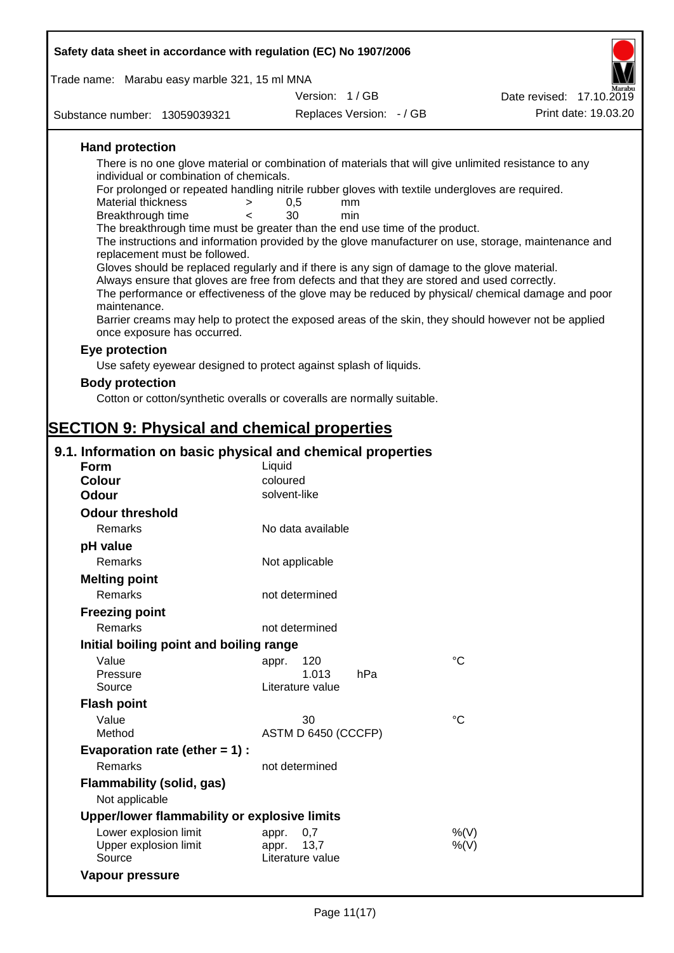| Safety data sheet in accordance with regulation (EC) No 1907/2006                                                              |                                                                                                                                            |                                                                                                       |  |  |  |  |  |  |  |
|--------------------------------------------------------------------------------------------------------------------------------|--------------------------------------------------------------------------------------------------------------------------------------------|-------------------------------------------------------------------------------------------------------|--|--|--|--|--|--|--|
| Trade name: Marabu easy marble 321, 15 ml MNA                                                                                  |                                                                                                                                            |                                                                                                       |  |  |  |  |  |  |  |
|                                                                                                                                | Version: 1/GB                                                                                                                              | Date revised: 17.10.2019                                                                              |  |  |  |  |  |  |  |
| Substance number: 13059039321                                                                                                  | Replaces Version: - / GB                                                                                                                   | Print date: 19.03.20                                                                                  |  |  |  |  |  |  |  |
| <b>Hand protection</b>                                                                                                         |                                                                                                                                            |                                                                                                       |  |  |  |  |  |  |  |
|                                                                                                                                |                                                                                                                                            | There is no one glove material or combination of materials that will give unlimited resistance to any |  |  |  |  |  |  |  |
|                                                                                                                                | individual or combination of chemicals.<br>For prolonged or repeated handling nitrile rubber gloves with textile undergloves are required. |                                                                                                       |  |  |  |  |  |  |  |
| <b>Material thickness</b><br>>                                                                                                 | 0,5<br>mm                                                                                                                                  |                                                                                                       |  |  |  |  |  |  |  |
| Breakthrough time<br>$\overline{a}$                                                                                            | 30<br>min                                                                                                                                  |                                                                                                       |  |  |  |  |  |  |  |
| The breakthrough time must be greater than the end use time of the product.                                                    |                                                                                                                                            |                                                                                                       |  |  |  |  |  |  |  |
|                                                                                                                                |                                                                                                                                            | The instructions and information provided by the glove manufacturer on use, storage, maintenance and  |  |  |  |  |  |  |  |
| replacement must be followed.<br>Gloves should be replaced regularly and if there is any sign of damage to the glove material. |                                                                                                                                            |                                                                                                       |  |  |  |  |  |  |  |
| Always ensure that gloves are free from defects and that they are stored and used correctly.                                   |                                                                                                                                            |                                                                                                       |  |  |  |  |  |  |  |
|                                                                                                                                |                                                                                                                                            | The performance or effectiveness of the glove may be reduced by physical/ chemical damage and poor    |  |  |  |  |  |  |  |
| maintenance.                                                                                                                   |                                                                                                                                            |                                                                                                       |  |  |  |  |  |  |  |
|                                                                                                                                |                                                                                                                                            | Barrier creams may help to protect the exposed areas of the skin, they should however not be applied  |  |  |  |  |  |  |  |
| once exposure has occurred.                                                                                                    |                                                                                                                                            |                                                                                                       |  |  |  |  |  |  |  |
| Eye protection                                                                                                                 |                                                                                                                                            |                                                                                                       |  |  |  |  |  |  |  |
| Use safety eyewear designed to protect against splash of liquids.                                                              |                                                                                                                                            |                                                                                                       |  |  |  |  |  |  |  |
| <b>Body protection</b>                                                                                                         |                                                                                                                                            |                                                                                                       |  |  |  |  |  |  |  |
| Cotton or cotton/synthetic overalls or coveralls are normally suitable.                                                        |                                                                                                                                            |                                                                                                       |  |  |  |  |  |  |  |
|                                                                                                                                |                                                                                                                                            |                                                                                                       |  |  |  |  |  |  |  |
| <b>SECTION 9: Physical and chemical properties</b>                                                                             |                                                                                                                                            |                                                                                                       |  |  |  |  |  |  |  |
| 9.1. Information on basic physical and chemical properties                                                                     |                                                                                                                                            |                                                                                                       |  |  |  |  |  |  |  |
| Form                                                                                                                           | Liquid                                                                                                                                     |                                                                                                       |  |  |  |  |  |  |  |
| <b>Colour</b>                                                                                                                  | coloured                                                                                                                                   |                                                                                                       |  |  |  |  |  |  |  |
| <b>Odour</b>                                                                                                                   | solvent-like                                                                                                                               |                                                                                                       |  |  |  |  |  |  |  |
| <b>Odour threshold</b>                                                                                                         |                                                                                                                                            |                                                                                                       |  |  |  |  |  |  |  |
| Remarks                                                                                                                        | No data available                                                                                                                          |                                                                                                       |  |  |  |  |  |  |  |
| pH value                                                                                                                       |                                                                                                                                            |                                                                                                       |  |  |  |  |  |  |  |
| Remarks                                                                                                                        | Not applicable                                                                                                                             |                                                                                                       |  |  |  |  |  |  |  |
| <b>Melting point</b>                                                                                                           |                                                                                                                                            |                                                                                                       |  |  |  |  |  |  |  |
| Remarks                                                                                                                        | not determined                                                                                                                             |                                                                                                       |  |  |  |  |  |  |  |
| <b>Freezing point</b>                                                                                                          |                                                                                                                                            |                                                                                                       |  |  |  |  |  |  |  |
| <b>Remarks</b>                                                                                                                 | not determined                                                                                                                             |                                                                                                       |  |  |  |  |  |  |  |
| Initial boiling point and boiling range                                                                                        |                                                                                                                                            |                                                                                                       |  |  |  |  |  |  |  |
| Value                                                                                                                          | 120<br>appr.                                                                                                                               | $^{\circ}C$                                                                                           |  |  |  |  |  |  |  |
| Pressure                                                                                                                       | 1.013<br>hPa                                                                                                                               |                                                                                                       |  |  |  |  |  |  |  |
| Source                                                                                                                         | Literature value                                                                                                                           |                                                                                                       |  |  |  |  |  |  |  |
| <b>Flash point</b>                                                                                                             |                                                                                                                                            |                                                                                                       |  |  |  |  |  |  |  |
| Value                                                                                                                          | 30                                                                                                                                         | °C                                                                                                    |  |  |  |  |  |  |  |
| Method                                                                                                                         | ASTM D 6450 (CCCFP)                                                                                                                        |                                                                                                       |  |  |  |  |  |  |  |
| Evaporation rate (ether $= 1$ ) :                                                                                              |                                                                                                                                            |                                                                                                       |  |  |  |  |  |  |  |
| Remarks                                                                                                                        | not determined                                                                                                                             |                                                                                                       |  |  |  |  |  |  |  |
| <b>Flammability (solid, gas)</b><br>Not applicable                                                                             |                                                                                                                                            |                                                                                                       |  |  |  |  |  |  |  |
| Upper/lower flammability or explosive limits                                                                                   |                                                                                                                                            |                                                                                                       |  |  |  |  |  |  |  |

**Upper/lower flammability or explosive limits** Lower explosion limit appr. 0,7 metal appression to  $\%(V)$ Upper explosion limit appr. 13,7  $\%(V)$ Source Literature value **Vapour pressure**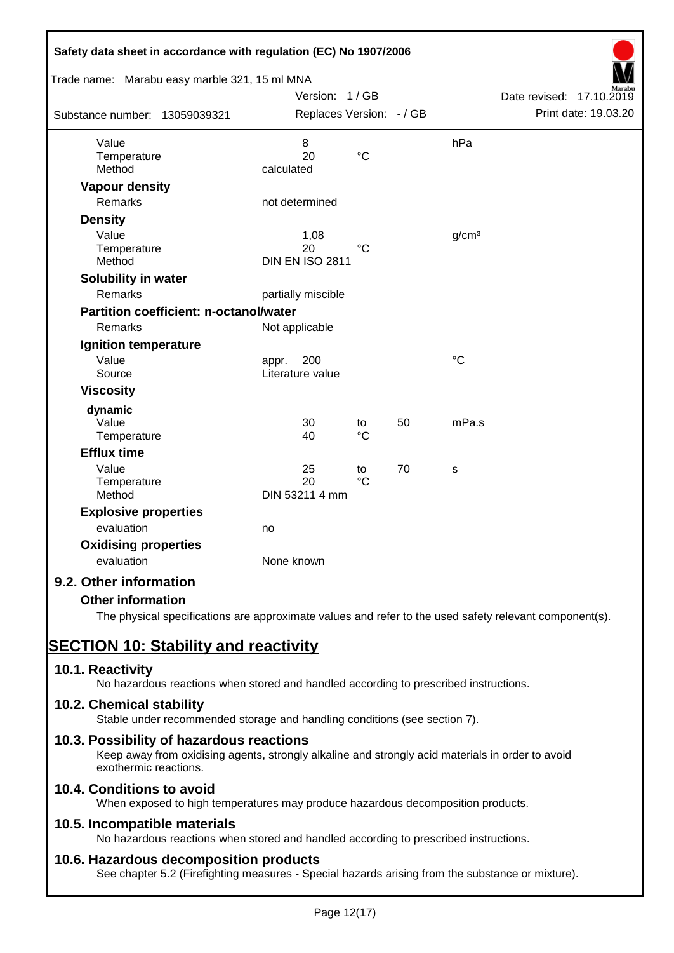| Safety data sheet in accordance with regulation (EC) No 1907/2006 |                          |                 |    |                   |                          |
|-------------------------------------------------------------------|--------------------------|-----------------|----|-------------------|--------------------------|
| Trade name: Marabu easy marble 321, 15 ml MNA                     | Version: 1/GB            |                 |    |                   | Date revised: 17.10.2019 |
|                                                                   | Replaces Version: - / GB |                 |    |                   | Print date: 19.03.20     |
| Substance number: 13059039321                                     |                          |                 |    |                   |                          |
| Value                                                             | 8                        |                 |    | hPa               |                          |
| Temperature                                                       | 20                       | $\rm ^{\circ}C$ |    |                   |                          |
| Method                                                            | calculated               |                 |    |                   |                          |
| <b>Vapour density</b>                                             |                          |                 |    |                   |                          |
| Remarks                                                           | not determined           |                 |    |                   |                          |
| <b>Density</b>                                                    |                          |                 |    |                   |                          |
| Value                                                             | 1,08                     |                 |    | g/cm <sup>3</sup> |                          |
| Temperature                                                       | 20                       | $\rm ^{\circ}C$ |    |                   |                          |
| Method                                                            | <b>DIN EN ISO 2811</b>   |                 |    |                   |                          |
| Solubility in water                                               |                          |                 |    |                   |                          |
| Remarks                                                           | partially miscible       |                 |    |                   |                          |
| <b>Partition coefficient: n-octanol/water</b>                     |                          |                 |    |                   |                          |
| Remarks                                                           | Not applicable           |                 |    |                   |                          |
| Ignition temperature                                              |                          |                 |    |                   |                          |
| Value                                                             | 200<br>appr.             |                 |    | $\rm ^{\circ}C$   |                          |
| Source                                                            | Literature value         |                 |    |                   |                          |
| <b>Viscosity</b>                                                  |                          |                 |    |                   |                          |
| dynamic                                                           |                          |                 |    |                   |                          |
| Value                                                             | 30                       | to              | 50 | mPa.s             |                          |
| Temperature                                                       | 40                       | $\rm ^{\circ}C$ |    |                   |                          |
| <b>Efflux time</b>                                                |                          |                 |    |                   |                          |
| Value                                                             | 25                       | to              | 70 | s                 |                          |
| Temperature                                                       | 20                       | $\rm ^{\circ}C$ |    |                   |                          |
| Method                                                            | DIN 53211 4 mm           |                 |    |                   |                          |
| <b>Explosive properties</b>                                       |                          |                 |    |                   |                          |
| evaluation                                                        | no                       |                 |    |                   |                          |
| <b>Oxidising properties</b>                                       |                          |                 |    |                   |                          |
| evaluation                                                        | None known               |                 |    |                   |                          |
| 9.2. Other information                                            |                          |                 |    |                   |                          |
| <b>Other information</b>                                          |                          |                 |    |                   |                          |

The physical specifications are approximate values and refer to the used safety relevant component(s).

# **SECTION 10: Stability and reactivity**

# **10.1. Reactivity**

No hazardous reactions when stored and handled according to prescribed instructions.

# **10.2. Chemical stability**

Stable under recommended storage and handling conditions (see section 7).

# **10.3. Possibility of hazardous reactions**

Keep away from oxidising agents, strongly alkaline and strongly acid materials in order to avoid exothermic reactions.

# **10.4. Conditions to avoid**

When exposed to high temperatures may produce hazardous decomposition products.

# **10.5. Incompatible materials**

No hazardous reactions when stored and handled according to prescribed instructions.

# **10.6. Hazardous decomposition products**

See chapter 5.2 (Firefighting measures - Special hazards arising from the substance or mixture).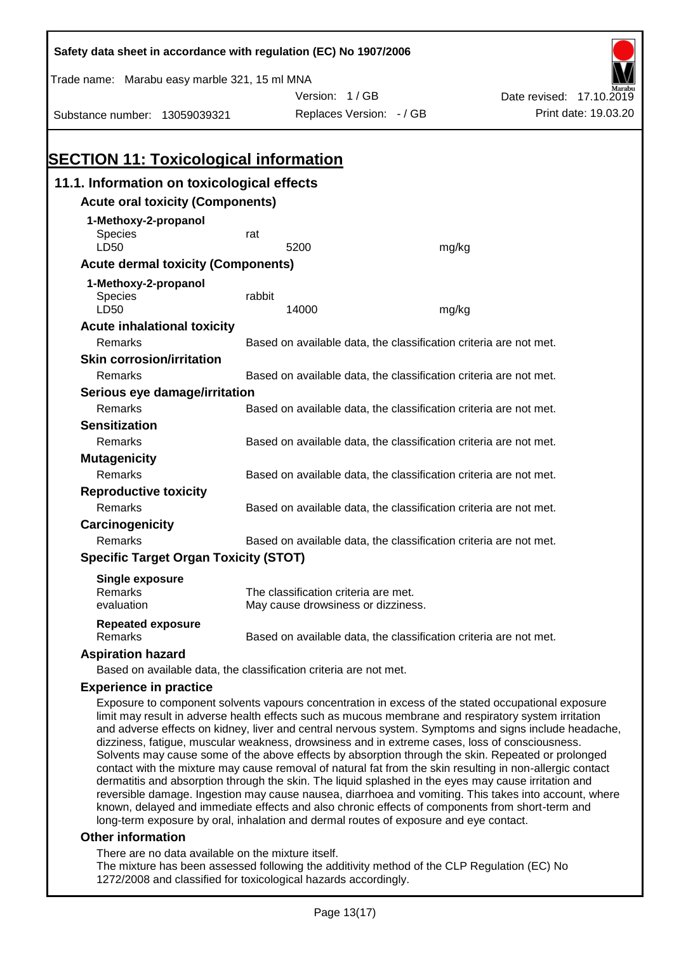| Safety data sheet in accordance with regulation (EC) No 1907/2006                                                                                                                                          |                                                                   |                                      |                                                                   |                          |  |  |
|------------------------------------------------------------------------------------------------------------------------------------------------------------------------------------------------------------|-------------------------------------------------------------------|--------------------------------------|-------------------------------------------------------------------|--------------------------|--|--|
| Trade name: Marabu easy marble 321, 15 ml MNA                                                                                                                                                              |                                                                   |                                      |                                                                   |                          |  |  |
|                                                                                                                                                                                                            |                                                                   | Version: 1/GB                        |                                                                   | Date revised: 17.10.2019 |  |  |
| Substance number: 13059039321                                                                                                                                                                              |                                                                   | Replaces Version: - / GB             |                                                                   | Print date: 19.03.20     |  |  |
|                                                                                                                                                                                                            |                                                                   |                                      |                                                                   |                          |  |  |
|                                                                                                                                                                                                            |                                                                   |                                      |                                                                   |                          |  |  |
| <b>SECTION 11: Toxicological information</b>                                                                                                                                                               |                                                                   |                                      |                                                                   |                          |  |  |
| 11.1. Information on toxicological effects                                                                                                                                                                 |                                                                   |                                      |                                                                   |                          |  |  |
| <b>Acute oral toxicity (Components)</b>                                                                                                                                                                    |                                                                   |                                      |                                                                   |                          |  |  |
| 1-Methoxy-2-propanol                                                                                                                                                                                       |                                                                   |                                      |                                                                   |                          |  |  |
| Species                                                                                                                                                                                                    | rat                                                               |                                      |                                                                   |                          |  |  |
| LD50                                                                                                                                                                                                       |                                                                   | 5200                                 | mg/kg                                                             |                          |  |  |
| <b>Acute dermal toxicity (Components)</b>                                                                                                                                                                  |                                                                   |                                      |                                                                   |                          |  |  |
| 1-Methoxy-2-propanol                                                                                                                                                                                       |                                                                   |                                      |                                                                   |                          |  |  |
| Species<br>LD50                                                                                                                                                                                            | rabbit                                                            | 14000                                |                                                                   |                          |  |  |
| <b>Acute inhalational toxicity</b>                                                                                                                                                                         |                                                                   |                                      | mg/kg                                                             |                          |  |  |
| Remarks                                                                                                                                                                                                    |                                                                   |                                      | Based on available data, the classification criteria are not met. |                          |  |  |
| <b>Skin corrosion/irritation</b>                                                                                                                                                                           |                                                                   |                                      |                                                                   |                          |  |  |
| Remarks                                                                                                                                                                                                    |                                                                   |                                      | Based on available data, the classification criteria are not met. |                          |  |  |
| Serious eye damage/irritation                                                                                                                                                                              |                                                                   |                                      |                                                                   |                          |  |  |
| Remarks                                                                                                                                                                                                    |                                                                   |                                      | Based on available data, the classification criteria are not met. |                          |  |  |
| <b>Sensitization</b>                                                                                                                                                                                       |                                                                   |                                      |                                                                   |                          |  |  |
| Remarks                                                                                                                                                                                                    |                                                                   |                                      | Based on available data, the classification criteria are not met. |                          |  |  |
| <b>Mutagenicity</b>                                                                                                                                                                                        |                                                                   |                                      |                                                                   |                          |  |  |
| Remarks                                                                                                                                                                                                    | Based on available data, the classification criteria are not met. |                                      |                                                                   |                          |  |  |
| <b>Reproductive toxicity</b>                                                                                                                                                                               |                                                                   |                                      |                                                                   |                          |  |  |
| Remarks                                                                                                                                                                                                    |                                                                   |                                      | Based on available data, the classification criteria are not met. |                          |  |  |
| Carcinogenicity                                                                                                                                                                                            |                                                                   |                                      |                                                                   |                          |  |  |
| Remarks                                                                                                                                                                                                    |                                                                   |                                      | Based on available data, the classification criteria are not met. |                          |  |  |
| <b>Specific Target Organ Toxicity (STOT)</b>                                                                                                                                                               |                                                                   |                                      |                                                                   |                          |  |  |
| <b>Single exposure</b>                                                                                                                                                                                     |                                                                   |                                      |                                                                   |                          |  |  |
| Remarks                                                                                                                                                                                                    |                                                                   | The classification criteria are met. |                                                                   |                          |  |  |
| evaluation                                                                                                                                                                                                 |                                                                   | May cause drowsiness or dizziness.   |                                                                   |                          |  |  |
| <b>Repeated exposure</b>                                                                                                                                                                                   |                                                                   |                                      |                                                                   |                          |  |  |
| Remarks                                                                                                                                                                                                    |                                                                   |                                      | Based on available data, the classification criteria are not met. |                          |  |  |
| <b>Aspiration hazard</b>                                                                                                                                                                                   |                                                                   |                                      |                                                                   |                          |  |  |
| Based on available data, the classification criteria are not met.                                                                                                                                          |                                                                   |                                      |                                                                   |                          |  |  |
| <b>Experience in practice</b>                                                                                                                                                                              |                                                                   |                                      |                                                                   |                          |  |  |
| Exposure to component solvents vapours concentration in excess of the stated occupational exposure<br>limit may result in adverse health effects such as mucous membrane and respiratory system irritation |                                                                   |                                      |                                                                   |                          |  |  |

and adverse effects on kidney, liver and central nervous system. Symptoms and signs include headache, dizziness, fatigue, muscular weakness, drowsiness and in extreme cases, loss of consciousness. Solvents may cause some of the above effects by absorption through the skin. Repeated or prolonged contact with the mixture may cause removal of natural fat from the skin resulting in non-allergic contact dermatitis and absorption through the skin. The liquid splashed in the eyes may cause irritation and reversible damage. Ingestion may cause nausea, diarrhoea and vomiting. This takes into account, where known, delayed and immediate effects and also chronic effects of components from short-term and long-term exposure by oral, inhalation and dermal routes of exposure and eye contact.

#### **Other information**

There are no data available on the mixture itself.

The mixture has been assessed following the additivity method of the CLP Regulation (EC) No 1272/2008 and classified for toxicological hazards accordingly.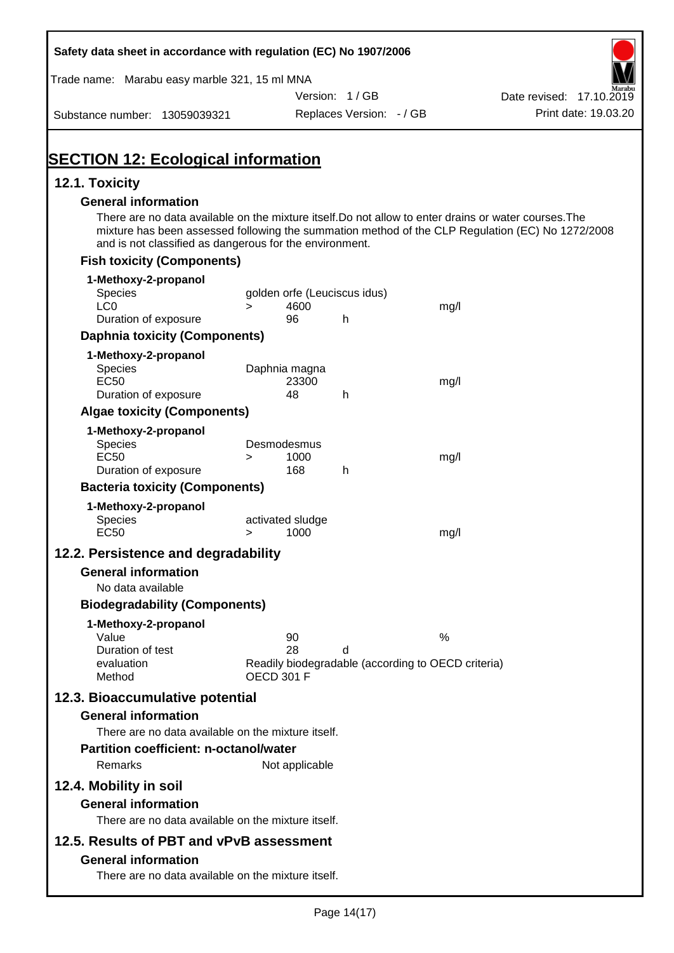| Safety data sheet in accordance with regulation (EC) No 1907/2006                                                                                                                              |                       |                                      |                                                    |                                                                                                  |
|------------------------------------------------------------------------------------------------------------------------------------------------------------------------------------------------|-----------------------|--------------------------------------|----------------------------------------------------|--------------------------------------------------------------------------------------------------|
| Trade name: Marabu easy marble 321, 15 ml MNA                                                                                                                                                  |                       |                                      |                                                    |                                                                                                  |
|                                                                                                                                                                                                |                       | Version: 1/GB                        |                                                    | Date revised: 17.10.2019                                                                         |
| Substance number: 13059039321                                                                                                                                                                  |                       | Replaces Version: - / GB             |                                                    | Print date: 19.03.20                                                                             |
| <b>SECTION 12: Ecological information</b>                                                                                                                                                      |                       |                                      |                                                    |                                                                                                  |
| 12.1. Toxicity                                                                                                                                                                                 |                       |                                      |                                                    |                                                                                                  |
| <b>General information</b><br>There are no data available on the mixture itself. Do not allow to enter drains or water courses. The<br>and is not classified as dangerous for the environment. |                       |                                      |                                                    | mixture has been assessed following the summation method of the CLP Regulation (EC) No 1272/2008 |
| <b>Fish toxicity (Components)</b>                                                                                                                                                              |                       |                                      |                                                    |                                                                                                  |
| 1-Methoxy-2-propanol                                                                                                                                                                           |                       |                                      |                                                    |                                                                                                  |
| <b>Species</b><br>LC <sub>0</sub>                                                                                                                                                              | $\geq$                | golden orfe (Leuciscus idus)<br>4600 | mg/l                                               |                                                                                                  |
| Duration of exposure                                                                                                                                                                           |                       | 96<br>h.                             |                                                    |                                                                                                  |
| <b>Daphnia toxicity (Components)</b>                                                                                                                                                           |                       |                                      |                                                    |                                                                                                  |
| 1-Methoxy-2-propanol                                                                                                                                                                           |                       |                                      |                                                    |                                                                                                  |
| Species                                                                                                                                                                                        | Daphnia magna         |                                      |                                                    |                                                                                                  |
| <b>EC50</b>                                                                                                                                                                                    |                       | 23300                                | mg/l                                               |                                                                                                  |
| Duration of exposure                                                                                                                                                                           |                       | 48<br>h                              |                                                    |                                                                                                  |
| <b>Algae toxicity (Components)</b>                                                                                                                                                             |                       |                                      |                                                    |                                                                                                  |
| 1-Methoxy-2-propanol                                                                                                                                                                           |                       |                                      |                                                    |                                                                                                  |
| Species<br><b>EC50</b>                                                                                                                                                                         | Desmodesmus<br>$\geq$ | 1000                                 | mg/l                                               |                                                                                                  |
| Duration of exposure                                                                                                                                                                           |                       | 168<br>h                             |                                                    |                                                                                                  |
| <b>Bacteria toxicity (Components)</b>                                                                                                                                                          |                       |                                      |                                                    |                                                                                                  |
| 1-Methoxy-2-propanol                                                                                                                                                                           |                       |                                      |                                                    |                                                                                                  |
| Species                                                                                                                                                                                        | activated sludge      |                                      |                                                    |                                                                                                  |
| <b>EC50</b>                                                                                                                                                                                    | $\geq$                | 1000                                 | mg/l                                               |                                                                                                  |
| 12.2. Persistence and degradability                                                                                                                                                            |                       |                                      |                                                    |                                                                                                  |
| <b>General information</b>                                                                                                                                                                     |                       |                                      |                                                    |                                                                                                  |
| No data available                                                                                                                                                                              |                       |                                      |                                                    |                                                                                                  |
| <b>Biodegradability (Components)</b>                                                                                                                                                           |                       |                                      |                                                    |                                                                                                  |
| 1-Methoxy-2-propanol                                                                                                                                                                           |                       |                                      |                                                    |                                                                                                  |
| Value                                                                                                                                                                                          |                       | 90                                   | %                                                  |                                                                                                  |
| Duration of test<br>evaluation                                                                                                                                                                 |                       | 28<br>d                              | Readily biodegradable (according to OECD criteria) |                                                                                                  |
| Method                                                                                                                                                                                         | <b>OECD 301 F</b>     |                                      |                                                    |                                                                                                  |
| 12.3. Bioaccumulative potential                                                                                                                                                                |                       |                                      |                                                    |                                                                                                  |
| <b>General information</b>                                                                                                                                                                     |                       |                                      |                                                    |                                                                                                  |
| There are no data available on the mixture itself.                                                                                                                                             |                       |                                      |                                                    |                                                                                                  |
| <b>Partition coefficient: n-octanol/water</b>                                                                                                                                                  |                       |                                      |                                                    |                                                                                                  |
| Remarks                                                                                                                                                                                        |                       | Not applicable                       |                                                    |                                                                                                  |
|                                                                                                                                                                                                |                       |                                      |                                                    |                                                                                                  |
| 12.4. Mobility in soil                                                                                                                                                                         |                       |                                      |                                                    |                                                                                                  |
| <b>General information</b>                                                                                                                                                                     |                       |                                      |                                                    |                                                                                                  |
| There are no data available on the mixture itself.                                                                                                                                             |                       |                                      |                                                    |                                                                                                  |
| 12.5. Results of PBT and vPvB assessment                                                                                                                                                       |                       |                                      |                                                    |                                                                                                  |
| <b>General information</b>                                                                                                                                                                     |                       |                                      |                                                    |                                                                                                  |
| There are no data available on the mixture itself.                                                                                                                                             |                       |                                      |                                                    |                                                                                                  |

Ī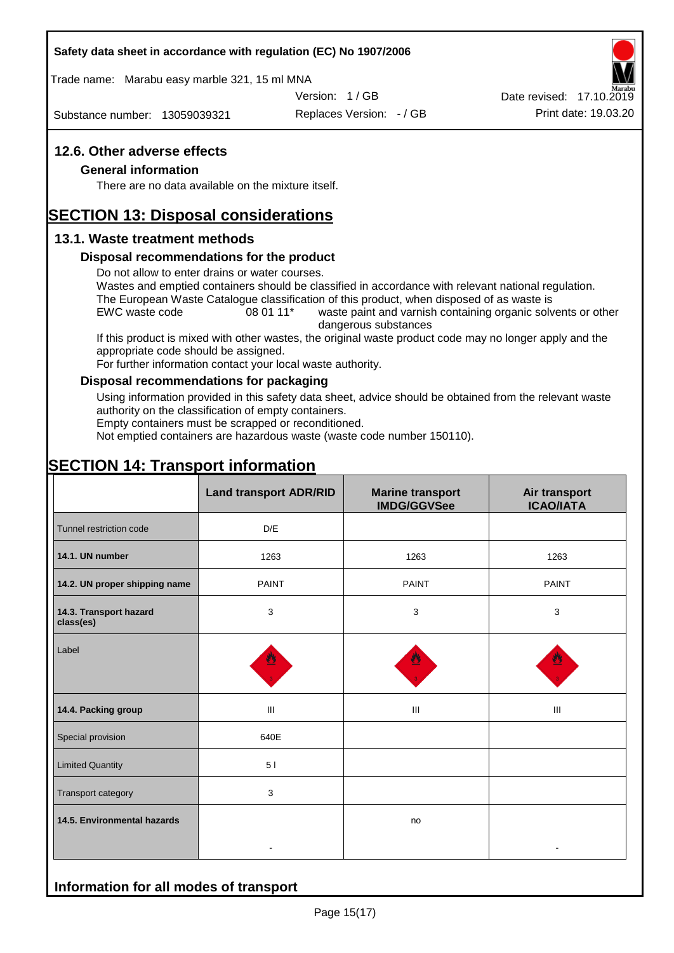#### **Safety data sheet in accordance with regulation (EC) No 1907/2006**

Trade name: Marabu easy marble 321, 15 ml MNA

Version: 1 / GB

Substance number: 13059039321

Replaces Version: - / GB Print date: 19.03.20 Date revised: 17.10.2019

## **12.6. Other adverse effects**

#### **General information**

There are no data available on the mixture itself.

# **SECTION 13: Disposal considerations**

## **13.1. Waste treatment methods**

#### **Disposal recommendations for the product**

Do not allow to enter drains or water courses.

Wastes and emptied containers should be classified in accordance with relevant national regulation. The European Waste Catalogue classification of this product, when disposed of as waste is

EWC waste code 08 01 11<sup>\*</sup> waste paint and varnish containing organic solvents or other dangerous substances

If this product is mixed with other wastes, the original waste product code may no longer apply and the appropriate code should be assigned.

For further information contact your local waste authority.

### **Disposal recommendations for packaging**

Using information provided in this safety data sheet, advice should be obtained from the relevant waste authority on the classification of empty containers.

Empty containers must be scrapped or reconditioned.

Not emptied containers are hazardous waste (waste code number 150110).

# **SECTION 14: Transport information**

**Information for all modes of transport**

|                                     | <b>Land transport ADR/RID</b> | <b>Marine transport</b><br><b>IMDG/GGVSee</b> | Air transport<br><b>ICAO/IATA</b> |
|-------------------------------------|-------------------------------|-----------------------------------------------|-----------------------------------|
| Tunnel restriction code             | D/E                           |                                               |                                   |
| 14.1. UN number                     | 1263                          | 1263                                          | 1263                              |
| 14.2. UN proper shipping name       | <b>PAINT</b>                  | <b>PAINT</b>                                  | <b>PAINT</b>                      |
| 14.3. Transport hazard<br>class(es) | 3                             | $\mathbf{3}$                                  | 3                                 |
| Label                               |                               |                                               |                                   |
| 14.4. Packing group                 | Ш                             | Ш                                             | Ш                                 |
| Special provision                   | 640E                          |                                               |                                   |
| <b>Limited Quantity</b>             | 51                            |                                               |                                   |
| Transport category                  | 3                             |                                               |                                   |
| 14.5. Environmental hazards         |                               | no                                            |                                   |
|                                     |                               |                                               |                                   |

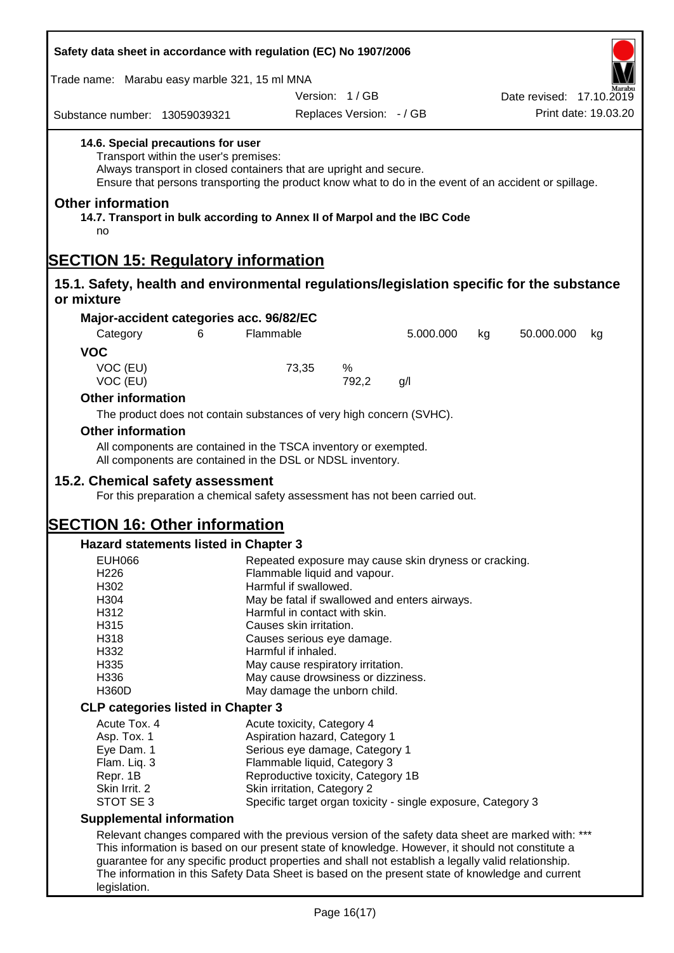| Safety data sheet in accordance with regulation (EC) No 1907/2006                                       |                                                                                                                                                                                                                                                            |                                                                                |                              |                                                              |    |                          |                      |
|---------------------------------------------------------------------------------------------------------|------------------------------------------------------------------------------------------------------------------------------------------------------------------------------------------------------------------------------------------------------------|--------------------------------------------------------------------------------|------------------------------|--------------------------------------------------------------|----|--------------------------|----------------------|
|                                                                                                         | Trade name: Marabu easy marble 321, 15 ml MNA                                                                                                                                                                                                              |                                                                                |                              |                                                              |    |                          |                      |
|                                                                                                         |                                                                                                                                                                                                                                                            |                                                                                | Version: 1/GB                |                                                              |    | Date revised: 17.10.2019 |                      |
| Substance number: 13059039321                                                                           |                                                                                                                                                                                                                                                            |                                                                                | Replaces Version: - / GB     |                                                              |    |                          | Print date: 19.03.20 |
|                                                                                                         | 14.6. Special precautions for user<br>Transport within the user's premises:<br>Always transport in closed containers that are upright and secure.<br>Ensure that persons transporting the product know what to do in the event of an accident or spillage. |                                                                                |                              |                                                              |    |                          |                      |
| <b>Other information</b><br>no                                                                          | 14.7. Transport in bulk according to Annex II of Marpol and the IBC Code                                                                                                                                                                                   |                                                                                |                              |                                                              |    |                          |                      |
| <b>SECTION 15: Regulatory information</b>                                                               |                                                                                                                                                                                                                                                            |                                                                                |                              |                                                              |    |                          |                      |
| 15.1. Safety, health and environmental regulations/legislation specific for the substance<br>or mixture |                                                                                                                                                                                                                                                            |                                                                                |                              |                                                              |    |                          |                      |
|                                                                                                         | Major-accident categories acc. 96/82/EC                                                                                                                                                                                                                    |                                                                                |                              |                                                              |    |                          |                      |
| Category                                                                                                | 6                                                                                                                                                                                                                                                          | Flammable                                                                      |                              | 5.000.000                                                    | kg | 50.000.000               | kg                   |
| <b>VOC</b>                                                                                              |                                                                                                                                                                                                                                                            |                                                                                |                              |                                                              |    |                          |                      |
| VOC (EU)<br>VOC (EU)                                                                                    |                                                                                                                                                                                                                                                            | 73,35                                                                          | %<br>792,2                   | g/l                                                          |    |                          |                      |
| <b>Other information</b>                                                                                |                                                                                                                                                                                                                                                            |                                                                                |                              |                                                              |    |                          |                      |
|                                                                                                         | The product does not contain substances of very high concern (SVHC).                                                                                                                                                                                       |                                                                                |                              |                                                              |    |                          |                      |
| <b>Other information</b>                                                                                |                                                                                                                                                                                                                                                            |                                                                                |                              |                                                              |    |                          |                      |
|                                                                                                         | All components are contained in the TSCA inventory or exempted.                                                                                                                                                                                            |                                                                                |                              |                                                              |    |                          |                      |
|                                                                                                         | All components are contained in the DSL or NDSL inventory.                                                                                                                                                                                                 |                                                                                |                              |                                                              |    |                          |                      |
| 15.2. Chemical safety assessment                                                                        |                                                                                                                                                                                                                                                            |                                                                                |                              |                                                              |    |                          |                      |
|                                                                                                         | For this preparation a chemical safety assessment has not been carried out.                                                                                                                                                                                |                                                                                |                              |                                                              |    |                          |                      |
|                                                                                                         |                                                                                                                                                                                                                                                            |                                                                                |                              |                                                              |    |                          |                      |
| <b>SECTION 16: Other information</b>                                                                    |                                                                                                                                                                                                                                                            |                                                                                |                              |                                                              |    |                          |                      |
|                                                                                                         | <b>Hazard statements listed in Chapter 3</b>                                                                                                                                                                                                               |                                                                                |                              |                                                              |    |                          |                      |
| <b>EUH066</b><br>H226                                                                                   |                                                                                                                                                                                                                                                            |                                                                                | Flammable liquid and vapour. | Repeated exposure may cause skin dryness or cracking.        |    |                          |                      |
| H302                                                                                                    |                                                                                                                                                                                                                                                            | Harmful if swallowed.                                                          |                              |                                                              |    |                          |                      |
| H304                                                                                                    |                                                                                                                                                                                                                                                            |                                                                                |                              |                                                              |    |                          |                      |
| H312                                                                                                    |                                                                                                                                                                                                                                                            | May be fatal if swallowed and enters airways.<br>Harmful in contact with skin. |                              |                                                              |    |                          |                      |
| H315                                                                                                    |                                                                                                                                                                                                                                                            | Causes skin irritation.                                                        |                              |                                                              |    |                          |                      |
| H318                                                                                                    |                                                                                                                                                                                                                                                            | Causes serious eye damage.                                                     |                              |                                                              |    |                          |                      |
| H332                                                                                                    | Harmful if inhaled.                                                                                                                                                                                                                                        |                                                                                |                              |                                                              |    |                          |                      |
| H335                                                                                                    |                                                                                                                                                                                                                                                            | May cause respiratory irritation.                                              |                              |                                                              |    |                          |                      |
| H336                                                                                                    |                                                                                                                                                                                                                                                            | May cause drowsiness or dizziness.                                             |                              |                                                              |    |                          |                      |
| H360D                                                                                                   |                                                                                                                                                                                                                                                            |                                                                                | May damage the unborn child. |                                                              |    |                          |                      |
|                                                                                                         | <b>CLP categories listed in Chapter 3</b>                                                                                                                                                                                                                  |                                                                                |                              |                                                              |    |                          |                      |
| Acute Tox. 4                                                                                            |                                                                                                                                                                                                                                                            | Acute toxicity, Category 4                                                     |                              |                                                              |    |                          |                      |
| Asp. Tox. 1                                                                                             |                                                                                                                                                                                                                                                            |                                                                                |                              |                                                              |    |                          |                      |
| Eye Dam. 1                                                                                              |                                                                                                                                                                                                                                                            | Aspiration hazard, Category 1<br>Serious eye damage, Category 1                |                              |                                                              |    |                          |                      |
| Flam. Liq. 3                                                                                            |                                                                                                                                                                                                                                                            | Flammable liquid, Category 3                                                   |                              |                                                              |    |                          |                      |
| Repr. 1B                                                                                                |                                                                                                                                                                                                                                                            | Reproductive toxicity, Category 1B                                             |                              |                                                              |    |                          |                      |
| Skin Irrit. 2                                                                                           |                                                                                                                                                                                                                                                            | Skin irritation, Category 2                                                    |                              |                                                              |    |                          |                      |
| STOT SE 3                                                                                               |                                                                                                                                                                                                                                                            |                                                                                |                              | Specific target organ toxicity - single exposure, Category 3 |    |                          |                      |
| <b>Supplemental information</b>                                                                         |                                                                                                                                                                                                                                                            |                                                                                |                              |                                                              |    |                          |                      |
|                                                                                                         |                                                                                                                                                                                                                                                            |                                                                                |                              |                                                              |    |                          |                      |
|                                                                                                         | Relevant changes compared with the previous version of the safety data sheet are marked with: ***<br>This information is based on our present state of knowledge. However, it should not constitute a                                                      |                                                                                |                              |                                                              |    |                          |                      |
|                                                                                                         | guarantee for any specific product properties and shall not establish a legally valid relationship.                                                                                                                                                        |                                                                                |                              |                                                              |    |                          |                      |
|                                                                                                         | The information in this Safety Data Sheet is based on the present state of knowledge and current                                                                                                                                                           |                                                                                |                              |                                                              |    |                          |                      |
| legislation.                                                                                            |                                                                                                                                                                                                                                                            |                                                                                |                              |                                                              |    |                          |                      |
|                                                                                                         |                                                                                                                                                                                                                                                            |                                                                                |                              |                                                              |    |                          |                      |